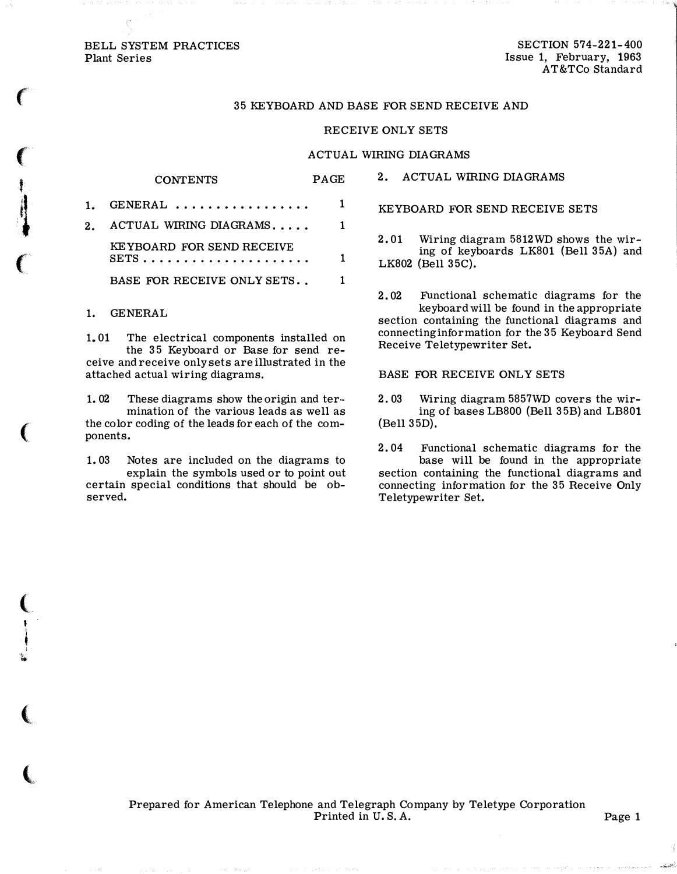### BELL SYSTEM PRACTICES Plant Series

 $\epsilon$ 

 $\big($ 

**}** 

i<br>I

(

(

( ' 1 t i '!+:

(

 $\overline{\mathbb{C}}$ 

SECTION 574-221-400 Issue 1, February, 1963 AT&TCo Standard

## 35 KEYBOARD AND BASE FOR SEND RECEIVE AND

### RECEIVE ONLY SETS

#### ACTUAL WIRING DIAGRAMS

# CONTENTS PAGE

| $1.$ GENERAL                |    |
|-----------------------------|----|
| 2. ACTUAL WIRING DIAGRAMS   | 1. |
| KEYBOARD FOR SEND RECEIVE   | 1. |
| BASE FOR RECEIVE ONLY SETS. |    |

## 1. GENERAL

1. 01 The electrical components installed on the 35 Keyboard or Base for send receive and receive only sets are illustrated in the attached actual wiring diagrams.

1. 02 These diagrams show the origin and ter·· mination of the various leads as well as the color coding of the leads for each of the components.

1. 03 Notes are included on the diagrams to explain the symbols used or to point out certain special conditions that should be observed.

2. ACTUAL WIRING DIAGRAMS

KEYBOARD FOR SEND RECEIVE SETS

2. 01 Wiring diagram 5812WD shows the wiring of keyboards LK801 (Bell 35A) and LK802 (Bell 35C).

2. 02 Functional schematic diagrams for the keyboard will be found in the appropriate section containing the functional diagrams and connecting information for the 35 Keyboard Send Receive Teletypewriter Set.

BASE FOR RECEIVE ONLY SETS

2. 03 Wiring diagram 5857WD covers the wiring of bases LB800 (Bell 35B) and LB801 (Bell 35D).

2. 04 Functional schematic diagrams for the base will be found in the appropriate section containing the functional diagrams and connecting information for the 35 Receive Only Teletypewriter Set.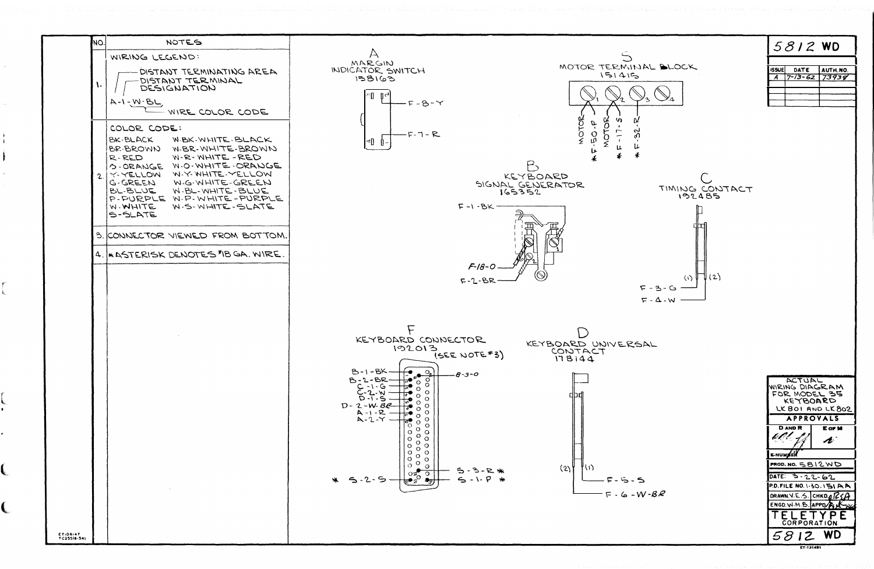| NO.                     | NOTES                                                                                                                                                                                                                                                                                                      |                                                                                                                                                                                                                                                                                                                                                                                                                                                                                                                                                                                                                                                                                       |                                                                                                                                                       |
|-------------------------|------------------------------------------------------------------------------------------------------------------------------------------------------------------------------------------------------------------------------------------------------------------------------------------------------------|---------------------------------------------------------------------------------------------------------------------------------------------------------------------------------------------------------------------------------------------------------------------------------------------------------------------------------------------------------------------------------------------------------------------------------------------------------------------------------------------------------------------------------------------------------------------------------------------------------------------------------------------------------------------------------------|-------------------------------------------------------------------------------------------------------------------------------------------------------|
| $\mathbf{L}$            | WIRING LEGEND:<br>DISTANT TERMINATING AREA<br>DISTANT TERMINAL<br>DESIGNATION<br>$A - 1 - N - BL$<br>WIRE COLOR CODE                                                                                                                                                                                       | $\forall$<br>MARGIN<br>INDICATOR SWITCH<br>158163<br>$F - 8 - Y$                                                                                                                                                                                                                                                                                                                                                                                                                                                                                                                                                                                                                      | MOTOR TERMINAL B<br>151415                                                                                                                            |
|                         | COLOR CODE:<br>W.BK.WHITE.BLACK<br>BK-BLACK<br>W-BR-WHITE-BROWN<br>BR-BROWN<br>W-R-WHITE-RED<br>R-RED<br>O-ORANGE W.O. WHITE-ORANGE<br>2 Y-YELLOW W-Y-WHITE-YELLOW<br>W-G-WHITE-GREEN<br>G-GREEN<br>BL-BLUE<br>W-BL-WHITE-BLUE<br>P-PURPLE W.P. WHITE-PURPLE<br>W.S. WHITE-SLATE<br>W. WHITE<br>$S$ -SLATE | $-F-T - R$<br>!⊄ը ≬–                                                                                                                                                                                                                                                                                                                                                                                                                                                                                                                                                                                                                                                                  | MOTOR<br><b>SCLO</b><br>ζč.<br>0<br>ណ្<br>KEYBOARD<br>SIGNAL GENERATOR<br>T<br>165352<br>$F - 1 - BK -$                                               |
|                         | 3. CONNECTOR VIEWED FROM BOTTOM.<br>4. KASTERISK DENOTES "IB GA. WIRE.                                                                                                                                                                                                                                     |                                                                                                                                                                                                                                                                                                                                                                                                                                                                                                                                                                                                                                                                                       | $F - 18 - 0$<br>$F - 2 - BR$<br>$F - 3 -$<br>$F - 4 -$                                                                                                |
|                         |                                                                                                                                                                                                                                                                                                            | KEYBOARD CONNECTOR<br>192013<br>$B-1-BK$<br>$O_{\sigma}$<br>$\circ$<br>$B - 2 - BP$<br>ັ໐<br>IJ,<br>$\circ$<br>$C - 1 - G$<br>$C - 2 - W$<br>$\frac{1}{2}$<br>$\circ$<br>O<br>$\circ$<br>O<br>¦ੌ਼ੂ<br>$\circ$<br>$D - 2-W - BE$<br>O<br>$\sqrt{2}$<br>$\circ$<br>$A - 1 - R$<br>$A - 2 - Y$<br>O<br>$\circ$<br>$\overline{e_{\circ}^{\bullet}}$<br>$\circ$<br>$\circ$<br>$\circ$<br>$\mathsf O$<br>$\mathsf{o}$<br>$\circ$<br>$\mathbf O$<br>$\rm _o^o$<br>O<br>$\circ$<br>$\circ$<br>$\circ$<br>$\mathsf{o}$<br>$\mathsf O$<br>$\mathbf{O}^{\circ}$<br>$\mathsf{o}$<br>O<br>$\circ$<br>$\circ$<br>$\circ$<br>$rac{1}{\sqrt{2}}$<br>୍ତ<br>$5 - 2 - 5$<br>₩<br>$\bullet_{\mathcal{D}}$ | KEYBOARD UNIVERSAL<br>(SEE NOTE#3)<br>CONTACT<br>178144<br>$-8 - 3 - 0$<br>(2)<br>(い<br>5<br>∍<br>$5 - 1 - P$<br>₩<br>$F - 5 - 5$<br>$F - G - W - BR$ |
| ET:08:47<br>TC255(6-54) |                                                                                                                                                                                                                                                                                                            |                                                                                                                                                                                                                                                                                                                                                                                                                                                                                                                                                                                                                                                                                       |                                                                                                                                                       |







| <b>issuel</b> | DATE | AUTH.NO. |
|---------------|------|----------|
|               | 3-62 | 73938    |
|               |      |          |
|               |      |          |
|               |      |          |
|               |      |          |